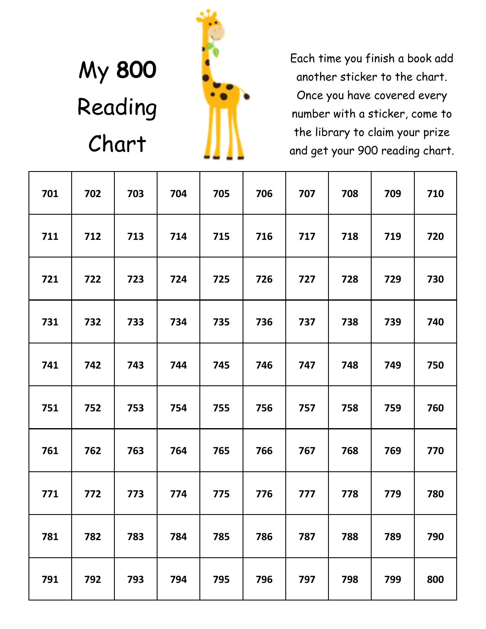# My **800**  Reading Chart



Each time you finish a book add another sticker to the chart. Once you have covered every number with a sticker, come to the library to claim your prize and get your 900 reading chart.

| 701 | 702 | 703 | 704 | 705 | 706 | 707 | 708 | 709 | 710 |
|-----|-----|-----|-----|-----|-----|-----|-----|-----|-----|
| 711 | 712 | 713 | 714 | 715 | 716 | 717 | 718 | 719 | 720 |
| 721 | 722 | 723 | 724 | 725 | 726 | 727 | 728 | 729 | 730 |
| 731 | 732 | 733 | 734 | 735 | 736 | 737 | 738 | 739 | 740 |
| 741 | 742 | 743 | 744 | 745 | 746 | 747 | 748 | 749 | 750 |
| 751 | 752 | 753 | 754 | 755 | 756 | 757 | 758 | 759 | 760 |
| 761 | 762 | 763 | 764 | 765 | 766 | 767 | 768 | 769 | 770 |
| 771 | 772 | 773 | 774 | 775 | 776 | 777 | 778 | 779 | 780 |
| 781 | 782 | 783 | 784 | 785 | 786 | 787 | 788 | 789 | 790 |
| 791 | 792 | 793 | 794 | 795 | 796 | 797 | 798 | 799 | 800 |